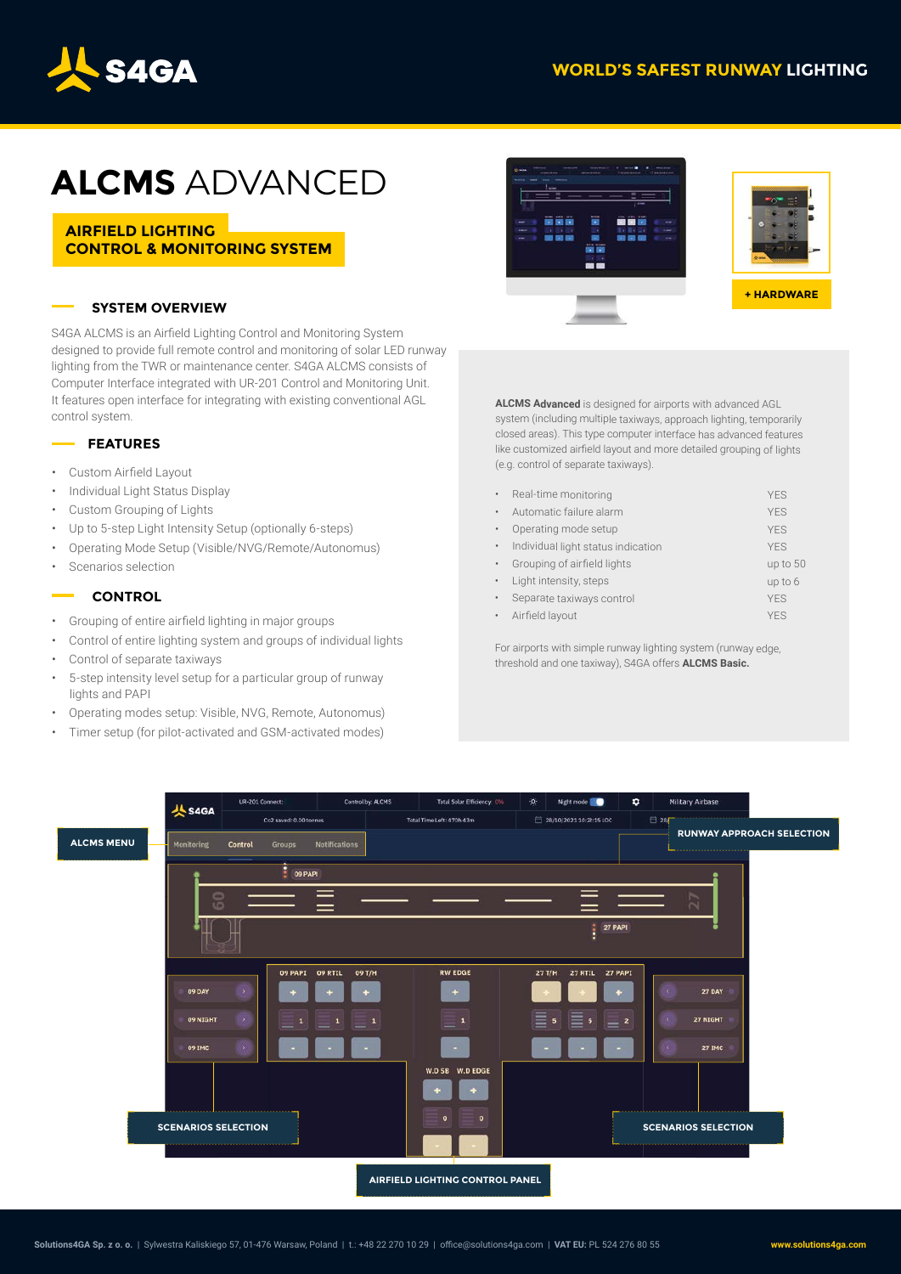## **WORLD'S SAFEST RUNWAY LIGHTING**



# **ALCMS** ADVANCED

**AIRFIELD LIGHTING CONTROL & MONITORING SYSTEM**

### **SYSTEM OVERVIEW**

S4GA ALCMS is an Airfield Lighting Control and Monitoring System designed to provide full remote control and monitoring of solar LED runway lighting from the TWR or maintenance center. S4GA ALCMS consists of Computer Interface integrated with UR-201 Control and Monitoring Unit. It features open interface for integrating with existing conventional AGL control system.

#### **FEATURES**

- Custom Airfield Layout
- Individual Light Status Display
- Custom Grouping of Lights
- Up to 5-step Light Intensity Setup (optionally 6-steps)
- Operating Mode Setup (Visible/NVG/Remote/Autonomus)
- Scenarios selection

#### **CONTROL**

- Grouping of entire airfield lighting in major groups
- Control of entire lighting system and groups of individual lights
- Control of separate taxiways
- 5-step intensity level setup for a particular group of runway lights and PAPI
- Operating modes setup: Visible, NVG, Remote, Autonomus)
- Timer setup (for pilot-activated and GSM-activated modes)





**ALCMS Advanced** is designed for airports with advanced AGL system (including multiple taxiways, approach lighting, temporarily closed areas). This type computer interface has advanced features like customized airfield layout and more detailed grouping of lights (e.g. control of separate taxiways).

| ٠         | Real-time monitoring               | <b>YES</b> |
|-----------|------------------------------------|------------|
| ٠         | Automatic failure alarm            | <b>YES</b> |
| ٠         | Operating mode setup               | <b>YFS</b> |
| ٠         | Individual light status indication | <b>YES</b> |
| ٠         | Grouping of airfield lights        | up to 50   |
| ٠         | Light intensity, steps             | up to 6    |
| ٠         | Separate taxiways control          | <b>YES</b> |
| $\bullet$ | Airfield layout                    | <b>YFS</b> |

For airports with simple runway lighting system (runway edge, threshold and one taxiway), S4GA offers **ALCMS Basic.**

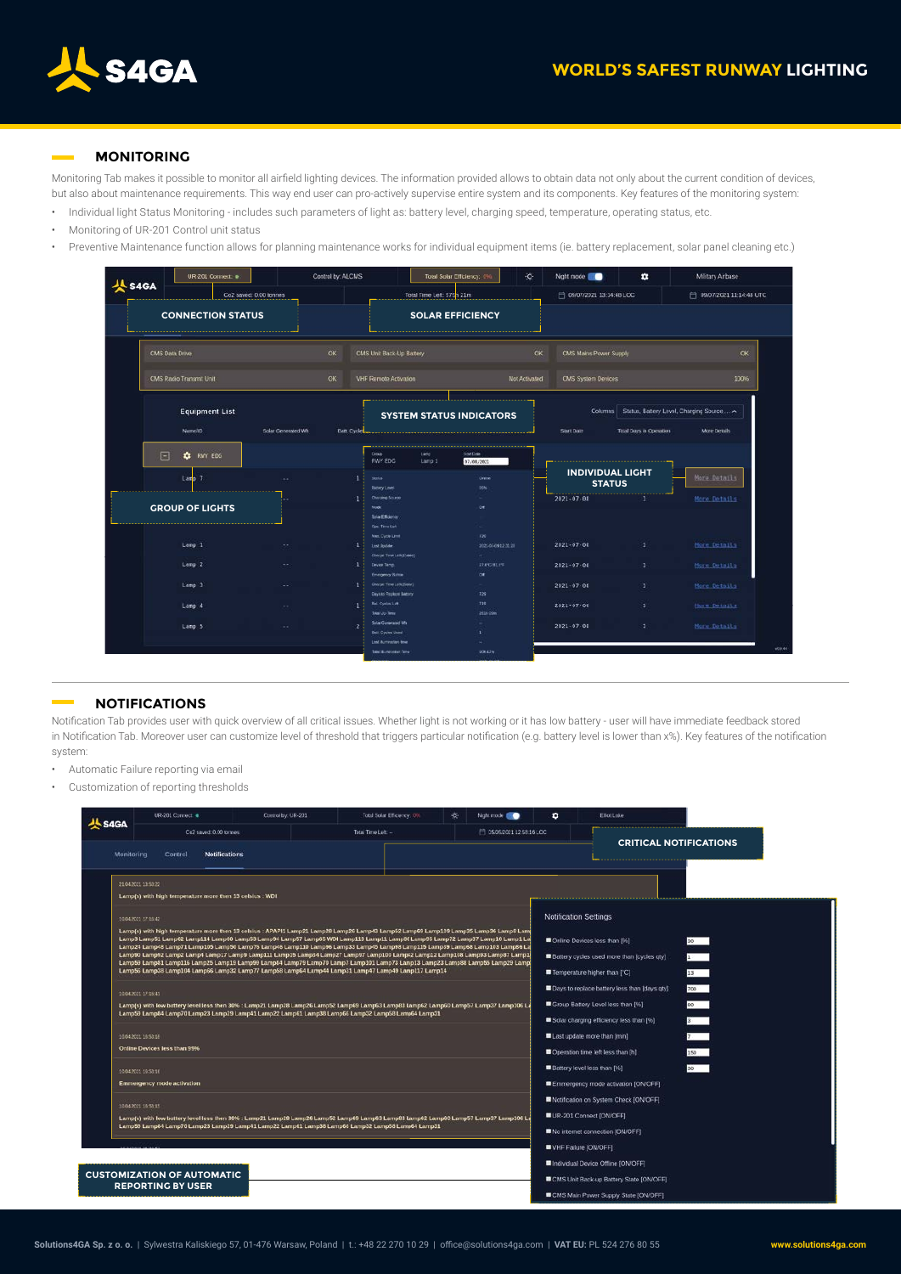

#### **MONITORING**

Monitoring Tab makes it possible to monitor all airfield lighting devices. The information provided allows to obtain data not only about the current condition of devices, but also about maintenance requirements. This way end user can pro-actively supervise entire system and its components. Key features of the monitoring system:

- Individual light Status Monitoring includes such parameters of light as: battery level, charging speed, temperature, operating status, etc.
- Monitoring of UR-201 Control unit status
- Preventive Maintenance function allows for planning maintenance works for individual equipment items (ie. battery replacement, solar panel cleaning etc.)



#### **NOTIFICATIONS**

Notification Tab provides user with quick overview of all critical issues. Whether light is not working or it has low battery - user will have immediate feedback stored in Notification Tab. Moreover user can customize level of threshold that triggers particular notification (e.g. battery level is lower than x%). Key features of the notification system:

- Automatic Failure reporting via email
- Customization of reporting thresholds

| <b>AL SAGA</b> | UR-201 Concect @                                                                                                                                                                                                                                                                                                                                                                                                                                                                                                                                                                                                                                                                      | Control by: UR-201 | Total Solar Efficiency, 0% | Night mode 1<br>÷            | ٠                                                                                                                                                                              | Elliot Enke                                                                                                           |  |
|----------------|---------------------------------------------------------------------------------------------------------------------------------------------------------------------------------------------------------------------------------------------------------------------------------------------------------------------------------------------------------------------------------------------------------------------------------------------------------------------------------------------------------------------------------------------------------------------------------------------------------------------------------------------------------------------------------------|--------------------|----------------------------|------------------------------|--------------------------------------------------------------------------------------------------------------------------------------------------------------------------------|-----------------------------------------------------------------------------------------------------------------------|--|
|                | Co2 sayed: 0.00 tonnes                                                                                                                                                                                                                                                                                                                                                                                                                                                                                                                                                                                                                                                                |                    | Total Time Latt --         | [11] 05/05/2021 12:58:16 LCC |                                                                                                                                                                                |                                                                                                                       |  |
| Monitoring     | Control<br><b>Notifications</b>                                                                                                                                                                                                                                                                                                                                                                                                                                                                                                                                                                                                                                                       |                    |                            |                              |                                                                                                                                                                                | <b>CRITICAL NOTIFICATIONS</b>                                                                                         |  |
|                | 21.04.2021.13.53.22<br>Lamp(s) with high temperature more then 13 celsius : WDI                                                                                                                                                                                                                                                                                                                                                                                                                                                                                                                                                                                                       |                    |                            |                              |                                                                                                                                                                                |                                                                                                                       |  |
|                | 10:04:2021 17:15:42<br>Lamp(s) with high temperature more then 13 celsius : APAPI1 Lamp21 Lamp28 Lamp28 Lamp43 Lamp52 Lamp69 Lamp109 Lamp35 Lamp36 Lamp8 Lamp<br>Lamp3 Lamp51 Lamp62 Lamp114 Lamp60 Lamp53 Lamp94 Lamp57 Lamp65 WDI Lamp113 Lamp31 Lamp30 Lamp95 Lamp72 Lamp37 Lamp10 Lamp1 Lal<br>Lamp24 Lamp48 Lamp71 Lamp105 Lamp50 Lamp76 Lamp46 Lamp110 Lamp96 Lamp33 Lamp45 Lamp98 Lamp115 Lamp59 Lamp68 Lamp56 Lamp66 La<br>Lamp90 Lamp92 Lamp2 Lamp4 Lamp17 Lamp9 Lamp111 Lamp15 Lamp34 Lamp27 Lamp97 Lamp100 Lamp22 Lamp108 Lamp93 Lamp87 Lamp10<br>Lamp59 Lamp81 Lamp116 Lamp25 Lamp19 Lamp99 Lamp39 Lamp79 Lamp70 Lamp101 Lamp13 Lamp23 Lamp28 Lamp88 Lamp29 Lamp29 Lamp29 |                    |                            |                              | <b>Notification Settings</b><br>Online Devices less than [%]<br>30<br>1 <sup>1</sup><br>Battery cycles used more than loycles giv1<br>$13 - 1$<br>Temperature higher than [°C] |                                                                                                                       |  |
|                | Lamp56 Lamp38 Lamp104 Lamp66 Lamp32 Lamp77 Lamp58 Lamp64 Lamp44 Lamp31 Lamp47 Lamp49 Lamp117 Lamp14<br>10.04.2021.17.18041<br>Lamp(s) with low battery level less then 30% : Lamp21 Lamp28 Lamp26 Lamp52 Lamp63 Lamp63 Lamp62 Lamp60 Lamp57 Lamp37 Lamp106 La<br>Lamp59 Lamp84 Lamp70 Lamp23 Lamp29 Lamp41 Lamp22 Lamp61 Lamp58 Lamp66 Lamp52 Lamp58 Lamp64 Lamp31<br>10.04.2021 10:53:18                                                                                                                                                                                                                                                                                             |                    |                            | Last update more than [min]  | Days to replace battery less than [days qty]<br>700<br>80<br>Group Battery Level less than [96]<br>Solar charging efficiency less than [96]<br>$3^{\circ}$                     |                                                                                                                       |  |
|                | Online Devices less than 99%<br>10.04.2021 10:53:10<br>Emmergency mode activation                                                                                                                                                                                                                                                                                                                                                                                                                                                                                                                                                                                                     |                    |                            |                              | Battery level less than [%]                                                                                                                                                    | 150<br>Operation time left less than [h]<br>$30 -$<br>Emmergency mode activation [ON/OFF].                            |  |
|                | 10.04.2021 10:53:15<br>Lamp(s) with low battery level less then 30% : Lamp21 Lamp28 Lamp28 Lamp52 Lamp63 Lamp63 Lamp62 Lamp60 Lamp57 Lamp37 Lamp106 La<br>Lamp59 Lamp84 Lamp70 Lamp23 Lamp29 Lamp41 Lamp22 Lamp61 Lamp38 Lamp66 Lamp32 Lamp58 Lamp64 Lamp31                                                                                                                                                                                                                                                                                                                                                                                                                           |                    |                            |                              | Notification on System Check [ON/OFF]<br>UR-201 Connect [ON/OFF]<br>No internet connection [ON/OFF]                                                                            |                                                                                                                       |  |
|                | <b>CUSTOMIZATION OF AUTOMATIC</b><br><b>REPORTING BY USER</b>                                                                                                                                                                                                                                                                                                                                                                                                                                                                                                                                                                                                                         |                    |                            |                              | VHF Failure [ON/OFF]                                                                                                                                                           | Individual Device Offline [ON/OFF]<br>CMS Unit Back-up Battery State [ON/OFF]<br>CMS Main Power Supply State [ON/OFF] |  |